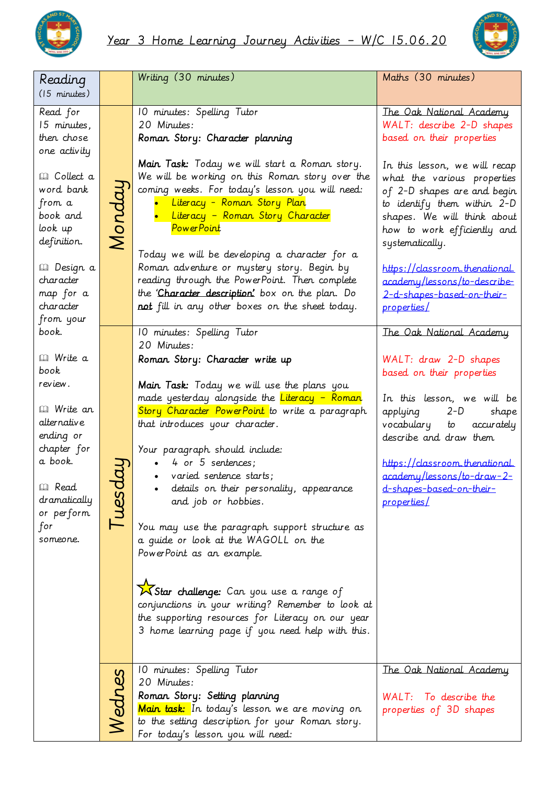



| Reading<br>$(15$ minutes)                                                                                                                                    |        | Writing (30 minutes)                                                                                                                                                                                                                                                                                                                                                                                                                                                                                                                                                                                                                                                          | Maths (30 minutes)                                                                                                                                                                                                                                        |
|--------------------------------------------------------------------------------------------------------------------------------------------------------------|--------|-------------------------------------------------------------------------------------------------------------------------------------------------------------------------------------------------------------------------------------------------------------------------------------------------------------------------------------------------------------------------------------------------------------------------------------------------------------------------------------------------------------------------------------------------------------------------------------------------------------------------------------------------------------------------------|-----------------------------------------------------------------------------------------------------------------------------------------------------------------------------------------------------------------------------------------------------------|
| Read for<br>15 minutes,<br>then chose<br>one activity                                                                                                        | Monday | 10 minutes: Spelling Tutor<br>20 Minutes:<br>Roman Story: Character planning                                                                                                                                                                                                                                                                                                                                                                                                                                                                                                                                                                                                  | The Oak National Academy<br>WALT: describe 2-D shapes<br>based on their properties                                                                                                                                                                        |
| <b>Q</b> Collect a<br>word bank<br>from a<br>book and<br>look up<br>definition.                                                                              |        | Main Task: Today we will start a Roman story.<br>We will be working on this Roman story over the<br>coming weeks. For today's lesson you will need:<br>• Literacy - Roman Story Plan<br>• Literacy - Roman Story Character<br>Power Point<br>Today we will be developing a character for a                                                                                                                                                                                                                                                                                                                                                                                    | In this lesson, we will recap<br>what the various properties<br>of 2-D shapes are and begin<br>to identify them within 2-D<br>shapes. We will think about<br>how to work efficiently and<br>systematically.                                               |
| <i>l</i> a Design a<br>character<br>map for a<br>character<br>from your                                                                                      |        | Roman adventure or mystery story. Begin by<br>reading through the PowerPoint. Then complete<br>the Character description' box on the plan. Do<br>not fill in any other boxes on the sheet today.                                                                                                                                                                                                                                                                                                                                                                                                                                                                              | https://classroom.thenational.<br>academy/lessons/to-describe-<br>2-d-shapes-based-on-their-<br>properties/                                                                                                                                               |
| book.<br><b>Q</b> Write a                                                                                                                                    |        | 10 minutes: Spelling Tutor<br>20 Minutes:<br>Roman Story: Character write up                                                                                                                                                                                                                                                                                                                                                                                                                                                                                                                                                                                                  | The Oak National Academy<br>WALT: draw 2-D shapes                                                                                                                                                                                                         |
| book<br>review.<br><i>⊞</i> Write an<br>alternative<br>ending or<br>chapter for<br>a book.<br><b>Q</b> Read<br>dramatically<br>or perform<br>for<br>someone. | l uesd | Main Task: Today we will use the plans you<br>made yesterday alongside the <i>Literacy - Roman</i><br>Story Character PowerPoint to write a paragraph<br>that introduces your character.<br>Your paragraph should include:<br>4 or 5 sentences;<br>varied sentence starts;<br>details on their personality, appearance<br>and job or hobbies.<br>You may use the paragraph support structure as<br>a quide or look at the WAGOLL on the<br>PowerPoint as an example.<br>KStar challenge: Can you use a range of<br>conjunctions in your writing? Remember to look at<br>the supporting resources for Literacy on our year<br>3 home learning page if you need help with this. | based on their properties<br>In this lesson, we will be<br>applying<br>$2-D$<br>shape<br>vocabulary to<br>accurately<br>describe and draw them<br>https://classroom.thenational.<br>academy/lessons/to-draw-2-<br>d-shapes-based-on-their-<br>properties/ |
|                                                                                                                                                              | Nednes | 10 minutes: Spelling Tutor<br>20 Minutes:<br>Roman Story: Setting planning<br>Main task: In today's lesson we are moving on<br>to the setting description for your Roman story.<br>For today's lesson you will need:                                                                                                                                                                                                                                                                                                                                                                                                                                                          | The Oak National Academy<br>WALT: To describe the<br>properties of 3D shapes                                                                                                                                                                              |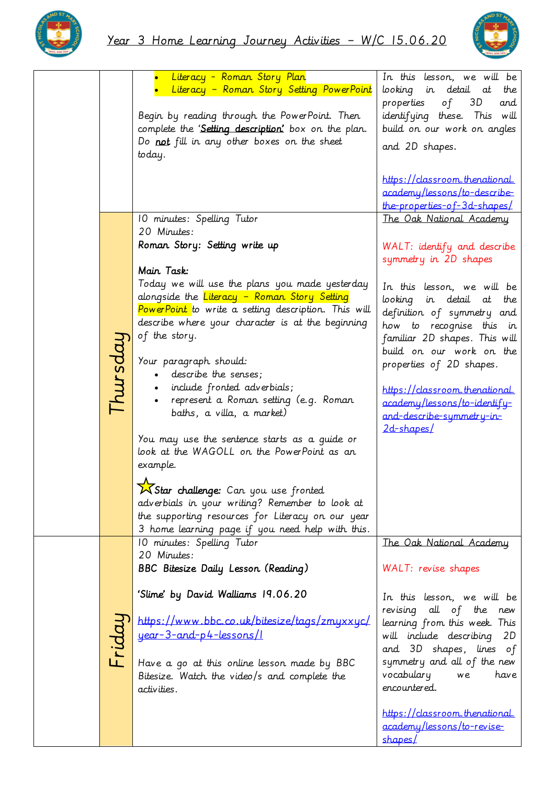



|          | Literacy - Roman Story Plan                                            | In this lesson, we will be                               |
|----------|------------------------------------------------------------------------|----------------------------------------------------------|
|          | Literacy - Roman Story Setting PowerPoint                              | looking in detail at<br>the                              |
|          |                                                                        | properties<br>of $3D$<br>and                             |
|          | Begin by reading through the PowerPoint. Then                          | identifying these. This will                             |
|          | complete the 'Setting description' box on the plan.                    | build on our work on angles                              |
|          | Do not fill in any other boxes on the sheet                            | and 2D shapes.                                           |
|          | today.                                                                 |                                                          |
|          |                                                                        | https://classroom.thenational.                           |
|          |                                                                        | academy/lessons/to-describe-                             |
|          |                                                                        | the-properties-of-3d-shapes/                             |
|          | 10 minutes: Spelling Tutor                                             | The Oak National Academy                                 |
|          | 20 Minutes:                                                            |                                                          |
|          | Roman Story: Setting write up                                          | WALT: identify and describe                              |
|          |                                                                        | symmetry in 2D shapes                                    |
|          | Main Task:                                                             |                                                          |
|          | Today we will use the plans you made yesterday                         | In this lesson, we will be                               |
|          | alongside the Literacy - Roman Story Setting                           | looking in detail at<br>the                              |
|          | PowerPoint to write a setting description. This will                   | definition of symmetry and                               |
|          | describe where your character is at the beginning                      | how to recognise this in                                 |
|          | of the story.                                                          | familiar 2D shapes. This will                            |
|          |                                                                        | build on our work on the                                 |
| Thursdai | Your paragraph should:                                                 | properties of 2D shapes.                                 |
|          | · describe the senses;                                                 |                                                          |
|          | • include fronted adverbials;<br>represent a Roman setting (e.g. Roman | https://classroom.thenational.                           |
|          | baths, a villa, a market)                                              | academy/lessons/to-identify-                             |
|          |                                                                        | and-describe-symmetry-in-                                |
|          | You may use the sentence starts as a quide or                          | 2d-shapes/                                               |
|          | look at the WAGOLL on the PowerPoint as an                             |                                                          |
|          | example.                                                               |                                                          |
|          |                                                                        |                                                          |
|          | X Star challenge: Can you use fronted                                  |                                                          |
|          | adverbials in your writing? Remember to look at                        |                                                          |
|          | the supporting resources for Literacy on our year                      |                                                          |
|          | 3 home learning page if you need help with this.                       |                                                          |
|          | 10 minutes: Spelling Tutor<br>20 Minutes:                              | The Oak National Academy                                 |
|          | BBC Bitesize Daily Lesson (Reading)                                    | WALT: revise shapes                                      |
|          |                                                                        |                                                          |
|          | 'Slime' by David Walliams 19.06.20                                     |                                                          |
|          |                                                                        | In this lesson, we will be                               |
|          | https://www.bbc.co.uk/bitesize/tags/zmyxxyc/                           | revising all of the new<br>learning from this week. This |
|          | year-3-and-p4-lessons/1                                                | will include describing 2D                               |
| Fridau   |                                                                        | and 3D shapes, lines of                                  |
|          | Have a go at this online lesson made by BBC                            | symmetry and all of the new                              |
|          | Bitesize. Watch the video/s and complete the                           | vocabulary<br>have<br>we                                 |
|          | activities.                                                            | encountered.                                             |
|          |                                                                        |                                                          |
|          |                                                                        | https://classroom.thenational.                           |
|          |                                                                        | academy/lessons/to-revise-                               |
|          |                                                                        | shapes/                                                  |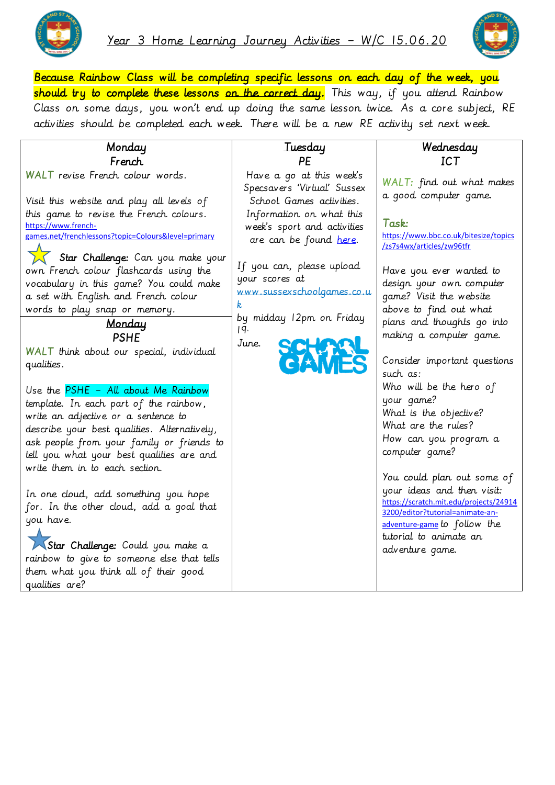



Because Rainbow Class will be completing specific lessons on each day of the week, you should try to complete these lessons on the correct day. This way, if you attend Rainbow Class on some days, you won't end up doing the same lesson twice. As a core subject, RE activities should be completed each week. There will be a new RE activity set next week.

| Monday                                                                                                                                                                                                                                                                                                                                                                                 | <u>Tuesday</u>                                                                                                                                                                                                                                 | Wednesday                                                                                                                                                                                                             |
|----------------------------------------------------------------------------------------------------------------------------------------------------------------------------------------------------------------------------------------------------------------------------------------------------------------------------------------------------------------------------------------|------------------------------------------------------------------------------------------------------------------------------------------------------------------------------------------------------------------------------------------------|-----------------------------------------------------------------------------------------------------------------------------------------------------------------------------------------------------------------------|
| French                                                                                                                                                                                                                                                                                                                                                                                 | PE                                                                                                                                                                                                                                             | ICT                                                                                                                                                                                                                   |
| WALT revise French colour words.                                                                                                                                                                                                                                                                                                                                                       | Have a go at this week's<br>Specsavers 'Virtual' Sussex                                                                                                                                                                                        | WALT: find out what makes<br>a good computer game.                                                                                                                                                                    |
| Visit this website and play all levels of<br>this game to revise the French colours.<br>https://www.french-<br>games.net/frenchlessons?topic=Colours&level=primary<br>Star Challenge: Can you make your<br>own French colour flashcards using the<br>vocabulary in this game? You could make<br>a set with English and French colour<br>words to play snap or memory.<br><u>Monday</u> | School Games activities.<br>Information on what this<br>week's sport and activities<br>are can be found here.<br>If you can, please upload<br>your scores at<br>www.sussexschoolgames.co.u<br>k<br>by midday 12pm on Friday<br>19 <sup>n</sup> | Task:<br>https://www.bbc.co.uk/bitesize/topics<br>/zs7s4wx/articles/zw96tfr<br>Have you ever wanted to<br>design your own computer<br>game? Visit the website<br>above to find out what<br>plans and thoughts go into |
| <b>PSHE</b><br>WALT think about our special, individual<br>qualities.                                                                                                                                                                                                                                                                                                                  | June.                                                                                                                                                                                                                                          | making a computer game.<br>Consider important questions<br>such as:                                                                                                                                                   |
| Use the PSHE - All about Me Rainbow<br>template. In each part of the rainbow,<br>write an adjective or a sentence to<br>describe your best qualities. Alternatively,<br>ask people from your family or friends to<br>tell you what your best qualities are and<br>write them in to each section.                                                                                       |                                                                                                                                                                                                                                                | Who will be the hero of<br>your game?<br>What is the objective?<br>What are the rules?<br>How can you program a<br>computer qame?                                                                                     |
| In one cloud, add something you hope<br>for. In the other cloud, add a goal that<br>you have.<br>Star Challenge: Could you make a<br>rainbow to give to someone else that tells<br>them what you think all of their good<br>qualities are?                                                                                                                                             |                                                                                                                                                                                                                                                | You could plan out some of<br>your ideas and then visit:<br>https://scratch.mit.edu/projects/24914<br>3200/editor?tutorial=animate-an-<br>adventure-game to follow the<br>tutorial to animate an<br>adventure game.   |